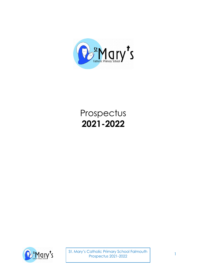

## Prospectus **2021-2022**

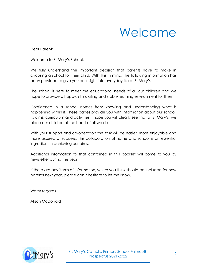

Dear Parents,

Welcome to St Mary's School.

We fully understand the important decision that parents have to make in choosing a school for their child. With this in mind, the following information has been provided to give you an insight into everyday life at St Mary's.

The school is here to meet the educational needs of all our children and we hope to provide a happy, stimulating and stable learning environment for them.

Confidence in a school comes from knowing and understanding what is happening within it. These pages provide you with information about our school, its aims, curriculum and activities. I hope you will clearly see that at St Mary's, we place our children at the heart of all we do.

With your support and co-operation the task will be easier, more enjoyable and more assured of success. This collaboration of home and school is an essential ingredient in achieving our aims.

Additional information to that contained in this booklet will come to you by newsletter during the year.

If there are any items of information, which you think should be included for new parents next year, please don't hesitate to let me know.

Warm regards

Alison McDonald

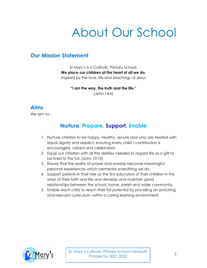## About Our School

### **Our Mission Statement**

St Mary's is a Catholic Primary School. **We place our children at the heart of all we do,** inspired by the love, life and teachings of Jesus.

> **"I am the way, the truth and the life."** (John 14:6)

### **Aims**

We aim to: -

### **Nurture, Prepare, Support, Enable**

- 1. Nurture children to be happy, healthy, secure and who are treated with equal dignity and respect, ensuring every child's contribution is encouraged, valued and celebrated.
- 2. Equip our children with all the abilities needed to regard life as a gift to be lived to the full. (John 10:10)
- 3. Ensure that the reality of prayer and worship become meaningful personal experiences which permeate everything we do.
- 4. Support parents in their role as the first educators of their children in the ways of their faith and life and develop and maintain good relationships between the school, home, parish and wider community.
- 5. Enable each child to reach their full potential by providing an enriching and relevant curriculum, within a caring learning environment.

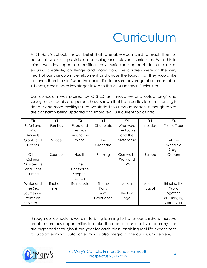## Curriculum

At St Mary's School, it is our belief that to enable each child to reach their full potential, we must provide an enriching and relevant curriculum. With this in mind, we developed an exciting cross-curricular approach for all classes, ensuring creativity, challenge and motivation. The children were at the very heart of our curriculum development and chose the topics that they would like to cover; then the staff used their expertise to ensure coverage of all areas, of all subjects, across each key stage; linked to the 2014 National Curriculum.

Our curriculum was praised by OFSTED as 'innovative and outstanding' and surveys of our pupils and parents have shown that both parties feel the learning is deeper and more exciting since we started this new approach, although topics are constantly being updated and improved. Our current topics are:

| <b>YR</b>   | <b>Y1</b> | <b>Y2</b>          | Y3           | Υ4          | Y5       | Y6                    |
|-------------|-----------|--------------------|--------------|-------------|----------|-----------------------|
| Safari and  | Families  | Food and           | Chocolate    | Who were    | Invaders | <b>Terrific Trees</b> |
| Wild        |           | <b>Festivals</b>   |              | the Tudors  |          |                       |
| Animals     |           | around the         |              | and the     |          |                       |
| Giants and  | Space     | World              | <b>The</b>   | Victorians? |          | All the               |
| Castles     |           |                    | Orchestra    |             |          | World's a             |
|             |           |                    |              |             |          | Stage                 |
| Other       | Seaside   | Health             | Farming      | Cornwall-   | Europe   | Oceans                |
| Cultures    |           |                    |              | Work and    |          |                       |
| Mini-beasts |           | <b>The</b>         |              | Play        |          |                       |
| and Plant   |           | Lighthouse         |              |             |          |                       |
| Hunters     |           | Keeper's           |              |             |          |                       |
|             |           | Lunch              |              |             |          |                       |
| Water and   | Enchant-  | <b>Rainforests</b> | <b>Theme</b> | Africa      | Ancient  | Bringing the          |
| the Sea     | ment      |                    | Parks        |             | Egypt    | World                 |
| Journeys-a  |           |                    | WWII         | The Iron    |          | $Together -$          |
| transition  |           |                    | Evacuation   | Age         |          | challenging           |
| topic to Y1 |           |                    |              |             |          | stereotypes           |

Through our curriculum, we aim to bring learning to life for our children. Thus, we create numerous opportunities to make the most of our locality and many trips are organized throughout the year for each class, enabling real life experiences to support learning. Outdoor learning is also integral to the curriculum delivery.

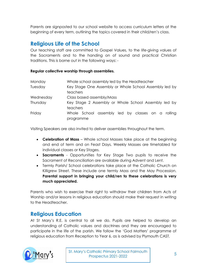Parents are signposted to our school website to access curriculum letters at the beginning of every term, outlining the topics covered in their child/ren's class.

### **Religious Life of the School**

Our teaching staff are committed to Gospel Values, to the life-giving values of the Sacraments and to the handing on of sound and practical Christian traditions. This is borne out in the following ways: -

#### **Regular collective worship through assemblies.**

| Monday    | Whole school assembly led by the Headteacher           |  |  |  |
|-----------|--------------------------------------------------------|--|--|--|
| Tuesday   | Key Stage One Assembly or Whole School Assembly led by |  |  |  |
|           | teachers                                               |  |  |  |
| Wednesday | Class based assembly/Mass                              |  |  |  |
| Thursday  | Key Stage 2 Assembly or Whole School Assembly led by   |  |  |  |
|           | teachers                                               |  |  |  |
| Friday    | Whole School assembly led by classes on a rolling      |  |  |  |
|           | programme                                              |  |  |  |

Visiting Speakers are also invited to deliver assemblies throughout the term.

- **Celebration of Mass** Whole school Masses take place at the beginning and end of term and on Feast Days. Weekly Masses are timetabled for individual classes or Key Stages.
- **Sacraments** Opportunities for Key Stage Two pupils to receive the Sacrament of Reconciliation are available during Advent and Lent.
- Termly Parish/ School celebrations take place at the Catholic Church on Killigrew Street. These include one termly Mass and the May Procession. **Parental support in bringing your child/ren to these celebrations is very much appreciated.**

Parents who wish to exercise their right to withdraw their children from Acts of Worship and/or lessons in religious education should make their request in writing to the Headteacher.

### **Religious Education**

At St Mary's R.E. is central to all we do. Pupils are helped to develop an understanding of Catholic values and doctrines and they are encouraged to participate in the life of the parish. We follow the 'God Matters' programme of religious education from Reception to Year 6, as is advised by Plymouth CAST.

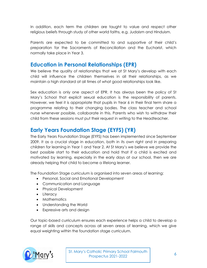In addition, each term the children are taught to value and respect other religious beliefs through study of other world faiths, e.g. Judaism and Hinduism.

Parents are expected to be committed to and supportive of their child's preparation for the Sacraments of Reconciliation and the Eucharist, which normally take place in Year 3.

### **Education in Personal Relationships (EPR)**

We believe the quality of relationships that we at St Mary's develop with each child will influence the children themselves in all their relationships, as we maintain a high standard at all times of what good relationships look like.

Sex education is only one aspect of EPR. It has always been the policy of St Mary's School that explicit sexual education is the responsibility of parents. However, we feel it is appropriate that pupils in Year 6 in their final term share a programme relating to their changing bodies. The class teacher and school nurse whenever possible, collaborate in this. Parents who wish to withdraw their child from these sessions must put their request in writing to the Headteacher.

### **Early Years Foundation Stage (EYFS) (YR)**

The Early Years Foundation Stage (EYFS) has been implemented since September 2009. It as a crucial stage in education, both in its own right and in preparing children for learning in Year 1 and Year 2. At St Mary's we believe we provide the best possible start to their education and hold that if a child is excited and motivated by learning, especially in the early days at our school, then we are already helping that child to become a lifelong learner.

The Foundation Stage curriculum is organised into seven areas of learning:

- Personal, Social and Emotional Development
- Communication and Language
- Physical Development
- Literacy
- Mathematics
- Understanding the World
- Expressive arts and design

Our topic-based curriculum ensures each experience helps a child to develop a range of skills and concepts across all seven areas of learning, which we give equal weighting within the foundation stage curriculum.

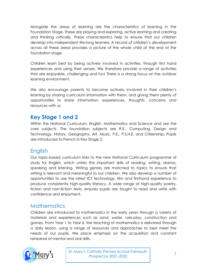Alongside the areas of learning are the characteristics of learning in the Foundation Stage. These are playing and exploring, active learning and creating and thinking critically. These characteristics help to ensure that our children develop into independent life-long learners. A record of children's development across all these areas provides a picture of the whole child at the end of the foundation stage.

Children learn best by being actively involved in activities, through first hand experiences and using their senses. We therefore provide a range of activities that are enjoyable, challenging and fun! There is a strong focus on the outdoor learning environment.

We also encourage parents to become actively involved in their children's learning by sharing curriculum information with them, and giving them plenty of opportunities to share information, experiences, thoughts, concerns and resources with us.

### **Key Stage 1 and 2**

Within the National Curriculum, English, Mathematics and Science and are the core subjects. The foundation subjects are R.E., Computing, Design and Technology, History, Geography, Art, Music, P.E., P.S.H.E. and Citizenship. Pupils are introduced to French in Key Stage 2.

### English

Our topic-based curriculum links to the new National Curriculum programme of study for English, which unites the important skills of reading, writing, drama, speaking and listening. Writing genres are matched to topics to ensure that writing is relevant and meaningful to our children. We also develop a number of opportunities to use the latest ICT technology, film and firsthand experience to produce consistently high-quality literacy. A wide range of high-quality poetry, fiction and non-fiction texts, ensures pupils are taught to read and write with confidence and enjoyment.

### **Mathematics**

Children are introduced to mathematics in the early years through a variety of materials and experiences such as sand, water, role-play, construction and games. From Year 1 to Year 6, the teaching of mathematics is delivered through a daily lesson, using a range of resources and approaches to best meet the needs of our pupils. We place emphasis on the acquisition and constant rehearsal of mental and oral skills.

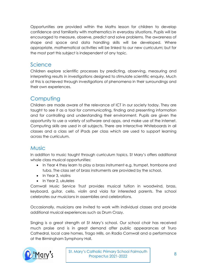Opportunities are provided within the Maths lesson for children to develop confidence and familiarity with mathematics in everyday situations. Pupils will be encouraged to measure, observe, predict and solve problems. The awareness of shape and space and data handling skills will be developed. Where appropriate, mathematical activities will be linked to our new curriculum; but for the most part this subject is independent of any topic.

### Science

Children explore scientific processes by predicting, observing, measuring and interpreting results in investigations designed to stimulate scientific enquiry. Much of this is achieved through investigations of phenomena in their surroundings and their own experiences.

### **Computing**

Children are made aware of the relevance of ICT in our society today. They are taught to see it as a tool for communicating, finding and presenting information and for controlling and understanding their environment. Pupils are given the opportunity to use a variety of software and apps, and make use of the internet. Computing skills are used in all subjects. There are Interactive Whiteboards in all classes and a class set of iPads per class which are used to support learning across the curriculum.

### **Music**

In addition to music taught through curriculum topics, St Mary's offers additional whole class musical opportunities:

- In Year 4 they learn to play a brass instrument e.g. trumpet, trombone and tuba. The class set of brass instruments are provided by the school.
- In Year 3, violins
- In Year 2, ukuleles

Cornwall Music Service Trust provides musical tuition in woodwind, brass, keyboard, guitar, cello, violin and viola for interested parents. The school celebrates our musicians in assemblies and celebrations.

Occasionally, musicians are invited to work with individual classes and provide additional musical experiences such as Drum Crazy.

Singing is a great strength at St Mary's school. Our school choir has received much praise and is in great demand after public appearances at Truro Cathedral, local care homes, Trago Mills, on Radio Cornwall and a performance at the Birmingham Symphony Hall.

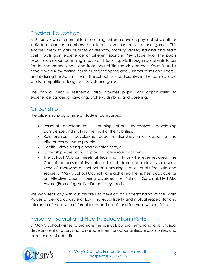### Physical Education

At St Mary's we are committed to helping children develop physical skills, both as individuals and as members of a team in various activities and games. This enables them to gain qualities of strength, mobility, agility, stamina and team spirit. Pupils gain experience of different sports in Key Stage Two. The pupils experience expert coaching in several different sports through school visits to our feeder secondary school and from local visiting sports coaches. Years 3 and 4 have a weekly swimming lesson during the Spring and Summer terms and Years 5 and 6 during the Autumn Term. The school fully participates in the local schools' sports competitions, leagues, festivals and galas.

The annual Year 6 residential also provides pupils with opportunities to experience canoeing, kayaking, archery, climbing and abseiling.

### **Citizenship**

The citizenship programme of study encompasses:

- Personal development learning about themselves, developing confidence and making the most of their abilities.
- Relationships developing good relationships and respecting the differences between people.
- Health developing a healthy safer lifestyle.
- Citizenship preparing to play an active role as citizens.
- The School Council meets at least monthly or whenever required. The Council comprises of two elected pupils from each class who discuss ways of improving our school and ensuring that all pupils feel safe and secure. St Mary's School Council have achieved the highest accolade for an effective Council, being awarded the Platinum Sustainability PADL Award (Promoting Active Democracy Loudly).

We work regularly with our children to develop an understanding of the British Values of democracy, rule of Law, individual liberty and mutual respect for and tolerance of those with different faiths and beliefs and for those without faith.

### Personal, Social and Health Education (PSHE)

St Mary's School wishes to promote the spiritual, cultural, emotional and physical development of pupils and to prepare them for opportunities, responsibilities and experiences of adult life.

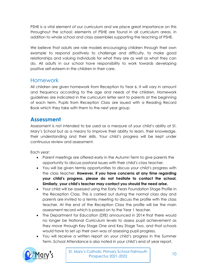PSHE is a vital element of our curriculum and we place great importance on this throughout the school; elements of PSHE are found in all curriculum areas, in addition to whole school and class assemblies supporting the teaching of PSHE.

We believe that adults are role models encouraging children through their own example to respond positively to challenge and difficulty, to make good relationships and valuing individuals for what they are as well as what they can do. All adults in our school have responsibility to work towards developing positive self-esteem in the children in their care.

### Homework

All children are given homework from Reception to Year 6. It will vary in amount and frequency according to the age and needs of the children. Homework guidelines are indicated in the curriculum letter sent to parents at the beginning of each term. Pupils from Reception Class are issued with a Reading Record Book which they take with them to the next year group.

### **Assessment**

Assessment is not intended to be used as a measure of your child's ability at St. Mary's School but as a means to improve their ability to learn, their knowledge, their understanding and their skills. Your child's progress will be kept under continuous review and assessment.

Each year:

- Parent meetings are offered early in the Autumn Term to give parents the opportunity to discuss pastoral issues with their child's class teacher.
- You will be given termly opportunities to discuss your child's progress with the class teacher. **However, if you have concerns at any time regarding your child's progress, please do not hesitate to contact the school. Similarly, your child's teacher may contact you should the need arise.**
- Your child will be assessed using the Early Years Foundation Stage Profile in the Reception Class. This is carried out during the normal class day and parents are invited to a termly meeting to discuss the profile with the class teacher. At the end of the Reception Class the profile will be the main assessment record which is passed on to the Year 1 teacher.
- The Department for Education (DfE) announced in 2014 that there would no longer be National Curriculum levels to assess pupil achievement as they move through Key Stage One and Key Stage Two, and that schools would have to set up their own way of assessing pupil progress.
- You will receive a written report on your child's progress in the Summer Term. School Attendance is also noted in your child's end of year report.

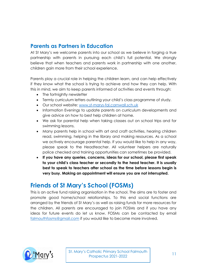### **Parents as Partners in Education**

At St Mary's we welcome parents into our school as we believe in forging a true partnership with parents in pursuing each child's full potential. We strongly believe that when teachers and parents work in partnership with one another, children gain more from their school experience.

Parents play a crucial role in helping the children learn, and can help effectively if they know what the school is trying to achieve and how they can help. With this in mind, we aim to keep parents informed of activities and events through:

- The fortnightly newsletter
- Termly curriculum letters outlining your child's class programme of study.
- Our school website: [www.st-marys-fal.cornwall.sch.uk](http://www.st-marys-fal.cornwall.sch.uk/)
- Information Evenings to update parents on curriculum developments and give advice on how to best help children at home.
- We ask for parental help when taking classes out on school trips and for swimming lessons.
- Many parents help in school with art and craft activities, hearing children read, swimming, helping in the library and making resources. As a school we actively encourage parental help. If you would like to help in any way, please speak to the Headteacher. All volunteer helpers are naturally police checked and training opportunities can sometimes be provided.
- **If you have any queries, concerns, ideas for our school, please first speak to your child's class teacher or secondly to the head teacher. It is usually best to speak to teachers after school as the time before lessons begin is very busy. Making an appointment will ensure you are not interrupted.**

### **Friends of St Mary's School (FOSMs)**

This is an active fund raising organisation in the school. The aims are to foster and promote good home/school relationships. To this end social functions are arranged by the friends of St Mary's as well as raising funds for more resources for the children. All parents are encouraged to join FOSMs and if you have any ideas for future events do let us know. FOSMs can be contacted by email [falmouthfosms@gmail.com](mailto:falmouthfosms@gmail.com) if you would like to become more involved.

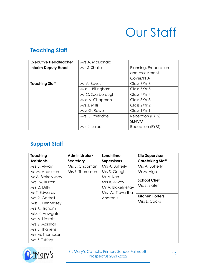# Our Staff

### **Teaching Staff**

| <b>Executive Headteacher</b> | Mrs A. McDonald    |                       |
|------------------------------|--------------------|-----------------------|
| <b>Interim Deputy Head</b>   | Mrs S. Shailes     | Planning, Preparation |
|                              |                    | and Assessment        |
|                              |                    | Cover/PPA             |
| <b>Teaching Staff</b>        | Mr A. Boyes        | Class 6/Yr 6          |
|                              | Miss L. Billingham | Class 5/Yr 5          |
|                              | Mr C. Scarborough  | Class 4/Yr 4          |
|                              | Miss A. Chapman    | Class 3/Yr 3          |
|                              | Mrs J. Mills       | Class 2/Yr 2          |
|                              | Miss G. Rowe       | Class 1/Yr 1          |
|                              | Mrs L. Titheridge  | Reception (EYFS)      |
|                              |                    | <b>SENCO</b>          |
|                              | Mrs K. Laloe       | Reception (EYFS)      |

### **Support Staff**

| <b>Teaching</b>   | Administrator/  | Lunchtime          | <b>Site Supervisor</b>  |
|-------------------|-----------------|--------------------|-------------------------|
| <b>Assistants</b> | Secretary       | <b>Supervisors</b> | <b>Caretaking Staff</b> |
| Mrs B. Alway      | Mrs S. Chapman  | Mrs A. Butterly    | Mrs A. Butterly         |
| Ms M. Anderson    | Mrs Z. Thomason | Mrs S. Gough       | Mr M. Vigo              |
| Mr A. Blakely May |                 | Mr A. Kerr         |                         |
| Mrs. M. Burton    |                 | Mrs B. Alway       | <b>School Chef</b>      |
| Mrs D. Ditty      |                 | Mr A. Blakely-May  | Mrs S. Slater           |
| Mr T. Edwards     |                 | Mrs A. Trevartha-  |                         |
| Mrs R. Gartrell   |                 | Andreou            | <b>Kitchen Porters</b>  |
| Miss L. Hennessey |                 |                    | Miss L. Cocks           |
| Mrs K. Higham     |                 |                    |                         |
| Miss K. Howgate   |                 |                    |                         |
| Mrs A. Liptrott   |                 |                    |                         |
| Mrs S. Marshall   |                 |                    |                         |
| Mrs E. Thalliens  |                 |                    |                         |
| Mrs M. Thompson   |                 |                    |                         |
| Mrs Z. Tuffery    |                 |                    |                         |

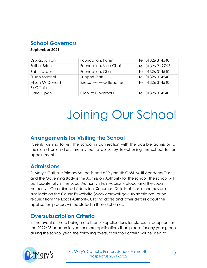### **School Governors**

**September 2021**

| Dr Xiaoyu Yan                        | Foundation, Parent        | Tel: 01326 314540 |
|--------------------------------------|---------------------------|-------------------|
| <b>Father Brian</b>                  | Foundation, Vice Chair    | Tel: 01326 312763 |
| <b>Bob Kiszczuk</b>                  | Foundation, Chair         | Tel: 01326 314540 |
| Susan Marshall                       | Support Staff             | Tel: 01326 314540 |
| <b>Alison McDonald</b><br>Ex Officio | Executive Headteacher     | Tel: 01326 314540 |
| Carol Pipkin                         | <b>Clerk to Governors</b> | Tel: 01326 314540 |

# Joining Our School

### **Arrangements for Visiting the School**

Parents wishing to visit the school in connection with the possible admission of their child or children, are invited to do so by telephoning the school for an appointment.

### **Admissions**

St Mary's Catholic Primary School is part of Plymouth CAST Multi Academy Trust and the Governing Body is the Admission Authority for the school. The school will participate fully in the Local Authority's Fair Access Protocol and the Local Authority's Co-ordinated Admissions Schemes. Details of these schemes are available on the Council's website (www.cornwall.gov.uk/admissions) or on request from the Local Authority. Closing dates and other details about the application process will be stated in those Schemes.

### **Oversubscription Criteria**

In the event of there being more than 30 applications for places in reception for the 2022/23 academic year or more applications than places for any year group during the school year, the following oversubscription criteria will be used to

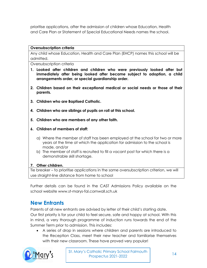prioritise applications, after the admission of children whose Education, Health and Care Plan or Statement of Special Educational Needs names the school.

#### **Oversubscription criteria**

Any child whose Education, Health and Care Plan (EHCP) names this school will be admitted.

Oversubscription criteria

- **1. Looked after children and children who were previously looked after but immediately after being looked after became subject to adoption, a child arrangements order, or special guardianship order.**
- **2. Children based on their exceptional medical or social needs or those of their parents.**
- **3. Children who are Baptised Catholic.**
- **4. Children who are siblings of pupils on roll at this school.**
- **5. Children who are members of any other faith.**
- **6. Children of members of staff:**
	- a) Where the member of staff has been employed at the school for two or more years at the time at which the application for admission to the school is made, and/or
	- b) The member of staff is recruited to fill a vacant post for which there is a demonstrable skill shortage.

#### **7. Other children.**

Tie breaker – to prioritise applications in the same oversubscription criterion, we will use straight-line distance from home to school

Further details can be found in the CAST Admissions Policy available on the school website www.st-marys-fal.cornwall.sch.uk

### **New Entrants**

Parents of all new entrants are advised by letter of their child's starting date. Our first priority is for your child to feel secure, safe and happy at school. With this in mind, a very thorough programme of induction runs towards the end of the Summer Term prior to admission. This includes:

• A series of drop in sessions where children and parents are introduced to the Reception Class, meet their new teacher and familiarise themselves with their new classroom. These have proved very popular!

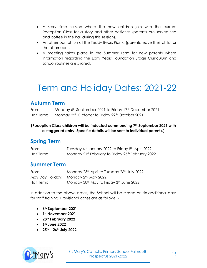- A story time session where the new children join with the current Reception Class for a story and other activities (parents are served tea and coffee in the hall during this session).
- An afternoon of fun at the Teddy Bears Picnic (parents leave their child for the afternoon).
- A meeting takes place in the Summer Term for new parents where information regarding the Early Years Foundation Stage Curriculum and school routines are shared.

## Term and Holiday Dates: 2021-22

### **Autumn Term**

From: Monday 6<sup>th</sup> September 2021 to Friday 17<sup>th</sup> December 2021 Half Term: Monday 25<sup>th</sup> October to Friday 29<sup>th</sup> October 2021

**(Reception Class children will be inducted commencing 7th September 2021 with a staggered entry. Specific details will be sent to individual parents.)**

### **Spring Term**

| From:      | Tuesday 4 <sup>th</sup> January 2022 to Friday 8 <sup>th</sup> April 2022 |
|------------|---------------------------------------------------------------------------|
| Half Term: | Monday 21st February to Friday 25th February 2022                         |

### **Summer Term**

| From:      | Monday 25th April to Tuesday 26th July 2022                     |
|------------|-----------------------------------------------------------------|
|            | May Day Holiday: Monday 2 <sup>nd</sup> May 2022                |
| Half Term: | Monday 30 <sup>th</sup> May to Friday 3 <sup>rd</sup> June 2022 |

In addition to the above dates, the School will be closed on six additional days for staff training. Provisional dates are as follows: -

- **6th September 2021**
- **1st November 2021**
- **28th February 2022**
- **6th June 2022**
- **25th – 26th July 2022**

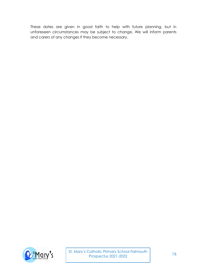These dates are given in good faith to help with future planning, but in unforeseen circumstances may be subject to change. We will inform parents and carers of any changes if they become necessary.

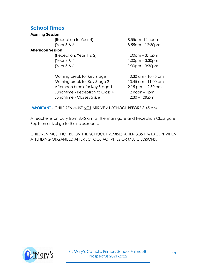### **School Times**

| <b>Morning Session</b>                                                                                                                                             |                                                                                                                        |  |
|--------------------------------------------------------------------------------------------------------------------------------------------------------------------|------------------------------------------------------------------------------------------------------------------------|--|
| (Reception to Year 4)                                                                                                                                              | 8.55am -12 noon                                                                                                        |  |
| (Year 5 & 6)                                                                                                                                                       | $8.55$ am – 12:30pm                                                                                                    |  |
| <b>Afternoon Session</b>                                                                                                                                           |                                                                                                                        |  |
| (Reception, Year 1 & 2)                                                                                                                                            | $1:00$ pm – $3:15$ pm                                                                                                  |  |
| (Year 3 & 4)                                                                                                                                                       | $1:00$ pm – $3:30$ pm                                                                                                  |  |
| (Year 5 & 6)                                                                                                                                                       | $1:30pm - 3:30pm$                                                                                                      |  |
| Morning break for Key Stage 1<br>Morning break for Key Stage 2<br>Afternoon break for Key Stage 1<br>Lunchtime - Reception to Class 4<br>Lunchtime - Classes 5 & 6 | 10.30 am - 10.45 am<br>10.45 am - 11.00 am<br>$2.15 \,\mathrm{pm}$ - 2.30 pm<br>$12$ noon $-1$ pm<br>$12:30 - 1:30$ pm |  |
|                                                                                                                                                                    |                                                                                                                        |  |

**IMPORTANT -** CHILDREN MUST NOT ARRIVE AT SCHOOL BEFORE 8.45 AM.

A teacher is on duty from 8:45 am at the main gate and Reception Class gate. Pupils on arrival go to their classrooms.

CHILDREN MUST NOT BE ON THE SCHOOL PREMISES AFTER 3.35 PM EXCEPT WHEN ATTENDING ORGANISED AFTER SCHOOL ACTIVITIES OR MUSIC LESSONS.

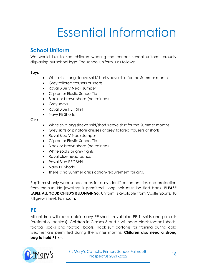# Essential Information

### **School Uniform**

We would like to see children wearing the correct school uniform, proudly displaying our school logo. The school uniform is as follows:

#### **Boys**

- White shirt long sleeve shirt/short sleeve shirt for the Summer months
- Grey tailored trousers or shorts
- Royal Blue V Neck Jumper
- Clip on or Elastic School Tie
- Black or brown shoes (no trainers)
- Grey socks
- Royal Blue PE T Shirt
- Navy PE Shorts

#### **Girls**

- White shirt long sleeve shirt/short sleeve shirt for the Summer months
- Grey skirts or pinafore dresses or grey tailored trousers or shorts
- Royal Blue V Neck Jumper
- Clip on or Elastic School Tie
- Black or brown shoes (no trainers)
- White socks or grey tights
- Royal blue head bands
- Royal Blue PE T Shirt
- Navy PE Shorts
- There is no Summer dress option/requirement for girls.

Pupils must only wear school caps for easy identification on trips and protection from the sun. No jewellery is permitted. Long hair must be tied back. **PLEASE**  LABEL ALL YOUR CHILD'S BELONGINGS. Uniform is available from Castle Sports, 10 Killigrew Street, Falmouth.

#### **PE**

All children will require plain navy PE shorts, royal blue PE T- shirts and plimsolls (preferably laceless). Children in Classes 5 and 6 will need black football shorts, football socks and football boots. Track suit bottoms for training during cold weather are permitted during the winter months. **Children also need a strong bag to hold PE kit.**

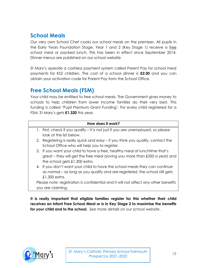### **School Meals**

Our very own School Chef cooks our school meals on the premises. All pupils in the Early Years Foundation Stage, Year 1 and 2 (Key Stage 1) receive a free school meal or packed lunch. This has been in effect since September 2014. Dinner menus are published on our school website

St Mary's operate a cashless payment system called Parent Pay for school meal payments for KS2 children. The cost of a school dinner is **£2:30** and you can obtain your activation code for Parent Pay from the School Office.

### **Free School Meals (FSM)**

Your child may be entitled to free school meals. The Government gives money to schools to help children from lower income families do their very best. This funding is called 'Pupil Premium Grant Funding'. For every child registered for a FSM, St Mary's gets **£1,320** this year**.**

#### **How does it work?**

- 1. First, check if you qualify it is not just if you are unemployed, so please look at the list below.
- 2. Registering is really quick and easy if you think you qualify, contact the School Office who will help you to register.
- 3. If you want your child to have a free, healthy meal at lunchtime that's great – they will get the free meal (saving you more than £350 a year) and the school gets £1,300 extra.
- 4. If you don't want your child to have the school meals they can continue as normal – as long as you qualify and are registered, the school still gets £1,300 extra.

*Please note:* registration is confidential and it will not affect any other benefits you are claiming.

**It is really important that eligible families register for this whether their child receives an Infant Free School Meal or is in Key Stage 2 to maximise the benefits for your child and to the school.** *See more details on our school website*.

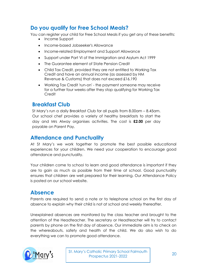### **Do you qualify for Free School Meals?**

You can register your child for Free School Meals if you get any of these benefits:

- Income Support
- Income-based Jobseeker's Allowance
- Income-related Employment and Support Allowance
- Support under Part VI of the Immigration and Asylum Act 1999
- The Guarantee element of State Pension Credit
- Child Tax Credit, provided they are not entitled to Working Tax Credit and have an annual income (as assessed by HM Revenue & Customs) that does not exceed £16,190
- Working Tax Credit 'run-on' the payment someone may receive for a further four weeks after they stop qualifying for Working Tax Credit

### **Breakfast Club**

St Mary's run a daily Breakfast Club for all pupils from 8.00am – 8.45am. Our school chef provides a variety of healthy breakfasts to start the day and Mrs Alway organises activities. The cost is **£2.00** per day payable on Parent Pay.

### **Attendance and Punctuality**

At St Mary's we work together to promote the best possible educational experiences for your children. We need your cooperation to encourage good attendance and punctuality.

Your children come to school to learn and good attendance is important if they are to gain as much as possible from their time at school. Good punctuality ensures that children are well prepared for their learning. Our Attendance Policy is posted on our school website.

### **Absence**

Parents are required to send a note or to telephone school on the first day of absence to explain why their child is not at school and weekly thereafter.

Unexplained absences are monitored by the class teacher and brought to the attention of the Headteacher. The secretary or Headteacher will try to contact parents by phone on the first day of absence. Our immediate aim is to check on the whereabouts, safety and health of the child. We do also wish to do everything we can to promote good attendance.

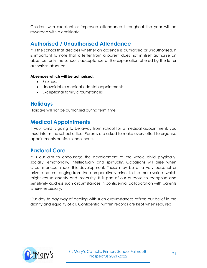Children with excellent or improved attendance throughout the year will be rewarded with a certificate.

### **Authorised / Unauthorised Attendance**

It is the school that decides whether an absence is authorised or unauthorised. It is important to note that a letter from a parent does not in itself authorise an absence; only the school's acceptance of the explanation offered by the letter authorises absence.

#### **Absences which will be authorised:**

- Sickness
- Unavoidable medical / dental appointments
- Exceptional family circumstances

### **Holidays**

Holidays will not be authorised during term time.

### **Medical Appointments**

If your child is going to be away from school for a medical appointment, you must inform the school office. Parents are asked to make every effort to organise appointments outside school hours.

### **Pastoral Care**

It is our aim to encourage the development of the whole child physically, socially, emotionally, intellectually and spiritually. Occasions will arise when circumstances hinder this development. These may be of a very personal or private nature ranging from the comparatively minor to the more serious which might cause anxiety and insecurity. It is part of our purpose to recognise and sensitively address such circumstances in confidential collaboration with parents where necessary.

Our day to day way of dealing with such circumstances affirms our belief in the dignity and equality of all. Confidential written records are kept when required.

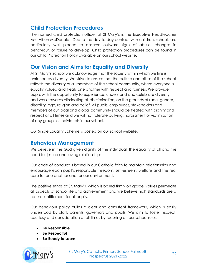### **Child Protection Procedures**

The named child protection officer at St Mary's is the Executive Headteacher Mrs. Alison McDonald. Due to the day to day contact with children, schools are particularly well placed to observe outward signs of abuse, changes in behaviour, or failure to develop. Child protection procedures can be found in our Child Protection Policy available on our school website.

### **Our Vision and Aims for Equality and Diversity**

At St Mary's School we acknowledge that the society within which we live is enriched by diversity. We strive to ensure that the culture and ethos of the school reflects the diversity of all members of the school community, where everyone is equally valued and treats one another with respect and fairness. We provide pupils with the opportunity to experience, understand and celebrate diversity and work towards eliminating all discrimination, on the grounds of race, gender, disability**,** age, religion and belief. All pupils, employees, stakeholders and members of our local and global community should be treated with dignity and respect at all times and we will not tolerate bullying, harassment or victimisation of any groups or individuals in our school.

Our Single Equality Scheme is posted on our school website.

### **Behaviour Management**

We believe in the God given dignity of the individual, the equality of all and the need for justice and loving relationships.

Our code of conduct is based in our Catholic faith to maintain relationships and encourage each pupil's responsible freedom, self-esteem, welfare and the real care for one another and for our environment.

The positive ethos at St. Mary's, which is based firmly on gospel values permeate all aspects of school life and achievement and we believe high standards are a natural entitlement for all pupils.

Our behaviour policy builds a clear and consistent framework, which is easily understood by staff, parents, governors and pupils. We aim to foster respect, courtesy and consideration at all times by focusing on our school rules:

- **Be Responsible**
- **Be Respectful**
- **Be Ready to Learn**

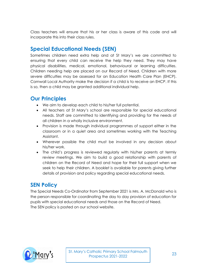Class teachers will ensure that his or her class is aware of this code and will incorporate this into their class rules.

### **Special Educational Needs (SEN)**

Sometimes children need extra help and at St Mary's we are committed to ensuring that every child can receive the help they need. They may have physical disabilities, medical, emotional, behavioural or learning difficulties. Children needing help are placed on our Record of Need. Children with more severe difficulties may be assessed for an Education Health Care Plan (EHCP). Cornwall Local Authority make the decision if a child is to receive an EHCP. If this is so, then a child may be granted additional individual help.

### **Our Principles**

- We aim to develop each child to his/her full potential.
- All teachers at St Mary's school are responsible for special educational needs. Staff are committed to identifying and providing for the needs of all children in a wholly inclusive environment.
- Provision is made through individual programmes of support either in the classroom or in a quiet area and sometimes working with the Teaching Assistant.
- Wherever possible the child must be involved in any decision about his/her work.
- The child's progress is reviewed regularly with his/her parents at termly review meetings. We aim to build a good relationship with parents of children on the Record of Need and hope for their full support when we seek to help their children. A booklet is available for parents giving further details of provision and policy regarding special educational needs.

### **SEN Policy**

The Special Needs Co-Ordinator from September 2021 is Mrs. A. McDonald who is the person responsible for coordinating the day to day provision of education for pupils with special educational needs and those on the Record of Need. The SEN policy is posted on our school website.

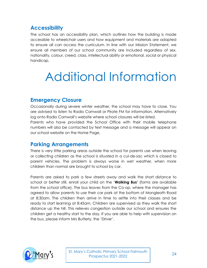### **Accessibility**

The school has an accessibility plan, which outlines how the building is made accessible to wheelchair users and how equipment and materials are adapted to ensure all can access the curriculum. In line with our Mission Statement, we ensure all members of our school community are included regardless of sex, nationality, colour, creed, class, intellectual ability or emotional, social or physical handicap.

## Additional Information

### **Emergency Closure**

Occasionally during severe winter weather, the school may have to close. You are advised to listen to Radio Cornwall or Pirate FM for information. Alternatively log onto Radio Cornwall's website where school closures will be listed. Parents who have provided the School Office with their mobile telephone

numbers will also be contacted by text message and a message will appear on our school website on the Home Page.

### **Parking Arrangements**

There is very little parking areas outside the school for parents use when leaving or collecting children as the school is situated in a cul-de-sac which is closed to parent vehicles. The problem is always worse in wet weather, when more children than normal are brought to school by car.

Parents are asked to park a few streets away and walk the short distance to school or better still, enroll your child on the '**Walking Bus'** (forms are available from the school office). The bus leaves from the Co-op, where the manager has agreed to allow parents to use their car park at the bottom of Mongleath Road at 8:30am. The children then arrive in time to settle into their classes and be ready to start learning at 8:45am. Children are supervised as they walk the short distance up the hill. This relieves congestion outside our school and ensures the children get a healthy start to the day. If you are able to help with supervision on the bus, please inform Mrs Butterly, the 'Driver'.

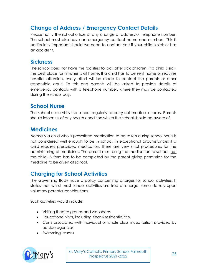### **Change of Address / Emergency Contact Details**

Please notify the school office of any change of address or telephone number. The school must also have an emergency contact name and number. This is particularly important should we need to contact you if your child is sick or has an accident.

### **Sickness**

The school does not have the facilities to look after sick children. If a child is sick, the best place for him/her is at home. If a child has to be sent home or requires hospital attention, every effort will be made to contact the parents or other responsible adult. To this end parents will be asked to provide details of emergency contacts with a telephone number, where they may be contacted during the school day.

### **School Nurse**

The school nurse visits the school regularly to carry out medical checks. Parents should inform us of any health condition which the school should be aware of.

### **Medicines**

Normally a child who is prescribed medication to be taken during school hours is not considered well enough to be in school. In exceptional circumstances if a child requires prescribed medication, there are very strict procedures for the administering of medicines. The parent must bring the medication to school, not the child. A form has to be completed by the parent giving permission for the medicine to be given at school.

### **Charging for School Activities**

The Governing Body have a policy concerning charges for school activities. It states that whilst most school activities are free of charge, some do rely upon voluntary parental contributions.

Such activities would include:

- Visiting theatre groups and workshops
- Educational visits, including Year 6 residential trip.
- Costs associated with individual or whole class music tuition provided by outside agencies.
- Swimming lessons

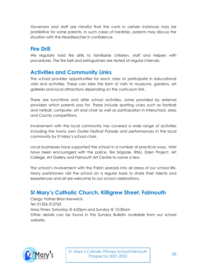Governors and staff are mindful that the costs in certain instances may be prohibitive for some parents. In such cases of hardship, parents may discuss the situation with the Headteacher in confidence.

### **Fire Drill**

We regularly hold fire drills to familiarise children, staff and helpers with procedures. The fire bell and extinguishers are tested at regular intervals.

### **Activities and Community Links**

The school provides opportunities for each class to participate in educational visits and activities. These can take the form of visits to museums, gardens, art galleries and local attractions depending on the curriculum link.

There are lunchtime and after school activities, some provided by external providers which parents pay for. These include sporting clubs such as football and netball, computer, art and choir as well as participation in interschool, area and County competitions.

Involvement with the local community has covered a wide range of activities including the towns own Oyster Festival Parade and performances in the local community by St Mary's school choir.

Local businesses have supported the school in a number of practical ways. Visits have been encouraged with the police, fire brigade, RNLI, Eden Project, Art College, Art Gallery and Falmouth Art Centre to name a few.

The school's involvement with the Parish spreads into all areas of our school life. Many parishioners visit the school on a regular basis to share their talents and experiences and all are welcome to our school celebrations.

### **St Mary's Catholic Church, Killigrew Street, Falmouth**

Clergy: Father Brian Kenwrick Tel: 01326-312763 Mass Times: Saturday @ 6:00pm and Sunday @ 10:30am Other details can be found in the Sunday Bulletin available from our school website.

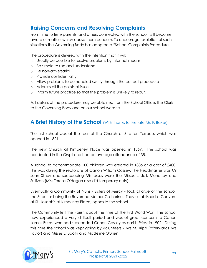### **Raising Concerns and Resolving Complaints**

From time to time parents, and others connected with the school, will become aware of matters which cause them concern. To encourage resolution of such situations the Governing Body has adopted a "School Complaints Procedure".

The procedure is devised with the intention that it will:

- o Usually be possible to resolve problems by informal means
- o Be simple to use and understand
- o Be non-adversarial
- o Provide confidentiality
- o Allow problems to be handled swiftly through the correct procedure
- o Address all the points at issue
- o Inform future practice so that the problem is unlikely to recur.

Full details of the procedure may be obtained from the School Office, the Clerk to the Governing Body and on our school website.

### **A Brief History of the School** (With thanks to the late Mr. F. Baker)

The first school was at the rear of the Church at Stratton Terrace, which was opened in 1821.

The new Church at Kimberley Place was opened in 1869. The school was conducted in the Crypt and had an average attendance of 35.

A school to accommodate 100 children was erected in 1886 at a cost of £400. This was during the rectorate of Canon William Cassey. The Headmaster was Mr John Sliney and succeeding Mistresses were the Misses L. Joll, Mohoney and Sullivan (Miss Teresa O'Hagan also did temporary duty).

Eventually a Community of Nuns - Sisters of Mercy - took charge of the school, the Superior being the Reverend Mother Catherine. They established a Convent at St. Joseph's at Kimberley Place, opposite the school.

The Community left the Parish about the time of the First World War. The school now experienced a very difficult period and was of great concern to Canon James Burns, who had succeeded Canon Cassey as parish Priest in 1902. During this time the school was kept going by volunteers - Mrs M. Tripp (afterwards Mrs Taylor) and Misses E. Booth and Madeline O'Brien.

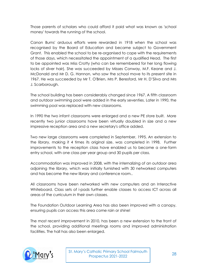Those parents of scholars who could afford it paid what was known as 'school money' towards the running of the school.

Canon Burns' arduous efforts were rewarded in 1918 when the school was recognised by the Board of Education and became subject to Government Grant. This enabled the school to be re-organised to cope with the requirements of those days, which necessitated the appointment of a qualified Head. The first to be appointed was Miss Crotty (who can be remembered for her long flowing locks of silver hair). She was succeeded by Misses Conway, M.F. Keane and J. McDonald and Mr D. G. Hannon, who saw the school move to its present site in 1967. He was succeeded by Mr T. O'Brien, Mrs P. Beresford, Mr H. D'Silva and Mrs J. Scarborough.

The school building has been considerably changed since 1967. A fifth classroom and outdoor swimming pool were added in the early seventies. Later in 1990, the swimming pool was replaced with new classrooms.

In 1990 the two infant classrooms were enlarged and a new PE store built. More recently two junior classrooms have been virtually doubled in size and a new impressive reception area and a new secretary's office added.

Two new large classrooms were completed in September, 1995. An extension to the library, making it 4 times its original size, was completed in 1998. Further improvements to the reception class have enabled us to become a one-form entry school, with one class per year group and 30 pupils per class.

Accommodation was improved in 2008, with the internalizing of an outdoor area adjoining the library, which was initially furnished with 30 networked computers and has become the new library and conference room..

All classrooms have been networked with new computers and an Interactive Whiteboard. Class sets of i-pads further enable classes to access ICT across all areas of the curriculum in their own classes.

The Foundation Outdoor Learning Area has also been improved with a canopy, ensuring pupils can access this area come rain or shine!

The most recent improvement in 2010, has been a new extension to the front of the school, providing additional meetings rooms and improved administration facilities. The hall has also been enlarged.

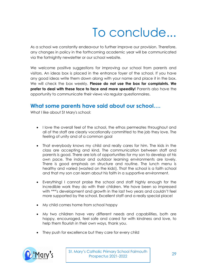## To conclude...

As a school we constantly endeavour to further improve our provision. Therefore, any changes in policy in the forthcoming academic year will be communicated via the fortnightly newsletter or our school website.

We welcome positive suggestions for improving our school from parents and visitors. An ideas box is placed in the entrance foyer of the school. If you have any good ideas write them down along with your name and place it in the box. We will check the box weekly. **Please do not use the box for complaints. We prefer to deal with these face to face and more speedily!** Parents also have the opportunity to communicate their views via regular questionnaires.

### **What some parents have said about our school….**

What I like about St Mary's school:

- I love the overall feel of the school, the ethos permeates throughout and all of the staff are clearly vocationally committed to the job they love. The feeling of unity and of a common goal
- That everybody knows my child and really cares for him. The kids in the class are accepting and kind. The communication between staff and parents is good. There are lots of opportunities for my son to develop at his own pace. The indoor and outdoor learning environments are lovely. There is good emphasis on structure and routine. The lunch menu is healthy and varied (wasted on the kids!). That the school is a faith school and that my son can learn about his faith in a supportive environment.
- Everything! I cannot praise the school and staff highly enough for the incredible work they do with their children. We have been so impressed with \*\*\*'s development and growth in the last two years and couldn't feel more supported by the school. Excellent staff and a really special place!
- My child comes home from school happy
- My two children have very different needs and capabilities, both are happy, encouraged, feel safe and cared for with kindness and love, to help them flourish in their own ways, thank you.
- They push for excellence but they care for every child